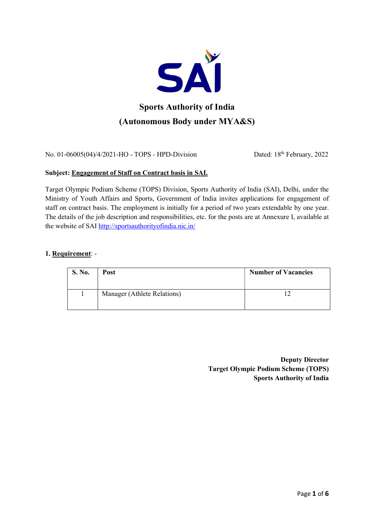

No. 01-06005(04)/4/2021-HO - TOPS - HPD-Division Dated: 18th February, 2022

### Subject: Engagement of Staff on Contract basis in SAI.

Target Olympic Podium Scheme (TOPS) Division, Sports Authority of India (SAI), Delhi, under the Ministry of Youth Affairs and Sports, Government of India invites applications for engagement of staff on contract basis. The employment is initially for a period of two years extendable by one year. The details of the job description and responsibilities, etc. for the posts are at Annexure I, available at the website of SAI http://sportsauthorityofindia.nic.in/

### 1. Requirement: -

| <b>S. No.</b> | Post                        | <b>Number of Vacancies</b> |
|---------------|-----------------------------|----------------------------|
|               | Manager (Athlete Relations) |                            |

Deputy Director Target Olympic Podium Scheme (TOPS) Sports Authority of India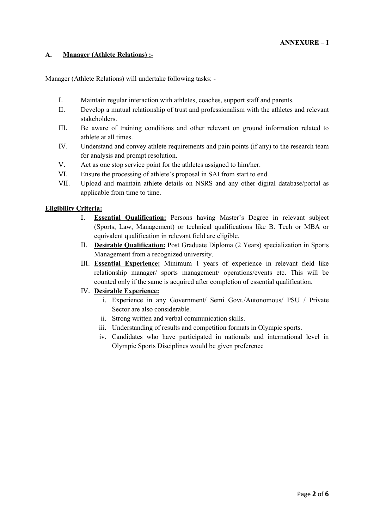### A. Manager (Athlete Relations) :-

Manager (Athlete Relations) will undertake following tasks: -

- I. Maintain regular interaction with athletes, coaches, support staff and parents.
- II. Develop a mutual relationship of trust and professionalism with the athletes and relevant stakeholders.
- III. Be aware of training conditions and other relevant on ground information related to athlete at all times.
- IV. Understand and convey athlete requirements and pain points (if any) to the research team for analysis and prompt resolution.
- V. Act as one stop service point for the athletes assigned to him/her.
- VI. Ensure the processing of athlete's proposal in SAI from start to end.
- VII. Upload and maintain athlete details on NSRS and any other digital database/portal as applicable from time to time.

### Eligibility Criteria:

- I. Essential Qualification: Persons having Master's Degree in relevant subject (Sports, Law, Management) or technical qualifications like B. Tech or MBA or equivalent qualification in relevant field are eligible.
- II. Desirable Qualification: Post Graduate Diploma (2 Years) specialization in Sports Management from a recognized university.
- III. Essential Experience: Minimum 1 years of experience in relevant field like relationship manager/ sports management/ operations/events etc. This will be counted only if the same is acquired after completion of essential qualification.
- IV. Desirable Experience:
	- i. Experience in any Government/ Semi Govt./Autonomous/ PSU / Private Sector are also considerable.
	- ii. Strong written and verbal communication skills.
	- iii. Understanding of results and competition formats in Olympic sports.
	- iv. Candidates who have participated in nationals and international level in Olympic Sports Disciplines would be given preference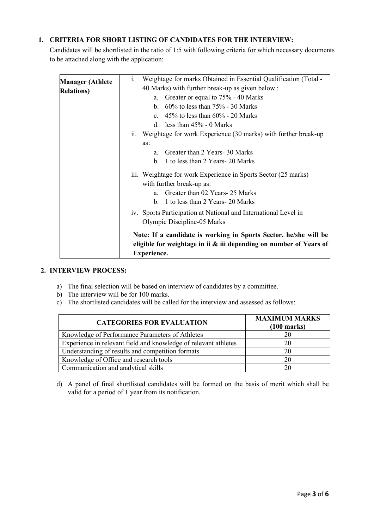# 1. CRITERIA FOR SHORT LISTING OF CANDIDATES FOR THE INTERVIEW:

Candidates will be shortlisted in the ratio of 1:5 with following criteria for which necessary documents to be attached along with the application:

| <b>Manager (Athlete</b> | i.<br>Weightage for marks Obtained in Essential Qualification (Total - |
|-------------------------|------------------------------------------------------------------------|
| <b>Relations</b> )      | 40 Marks) with further break-up as given below:                        |
|                         | Greater or equal to 75% - 40 Marks<br>a.                               |
|                         | b. $60\%$ to less than $75\%$ - 30 Marks                               |
|                         | c. $45\%$ to less than $60\%$ - 20 Marks                               |
|                         | d. less than $45\%$ - 0 Marks                                          |
|                         | ii. Weightage for work Experience (30 marks) with further break-up     |
|                         | as:                                                                    |
|                         | Greater than 2 Years- 30 Marks<br>a.                                   |
|                         | 1 to less than 2 Years-20 Marks<br>$h_{\cdot}$                         |
|                         | iii. Weightage for work Experience in Sports Sector (25 marks)         |
|                         | with further break-up as:                                              |
|                         | Greater than 02 Years- 25 Marks<br>$a_{-}$                             |
|                         | b. 1 to less than 2 Years-20 Marks                                     |
|                         | iv. Sports Participation at National and International Level in        |
|                         | Olympic Discipline-05 Marks                                            |
|                         | Note: If a candidate is working in Sports Sector, he/she will be       |
|                         | eligible for weightage in ii $\&$ iii depending on number of Years of  |
|                         | <b>Experience.</b>                                                     |

#### 2. INTERVIEW PROCESS:

- a) The final selection will be based on interview of candidates by a committee.
- b) The interview will be for 100 marks.
- c) The shortlisted candidates will be called for the interview and assessed as follows:

| <b>CATEGORIES FOR EVALUATION</b>                                | <b>MAXIMUM MARKS</b><br>$(100 \text{ marks})$ |
|-----------------------------------------------------------------|-----------------------------------------------|
| Knowledge of Performance Parameters of Athletes                 |                                               |
| Experience in relevant field and knowledge of relevant athletes |                                               |
| Understanding of results and competition formats                |                                               |
| Knowledge of Office and research tools                          |                                               |
| Communication and analytical skills                             |                                               |

d) A panel of final shortlisted candidates will be formed on the basis of merit which shall be valid for a period of 1 year from its notification.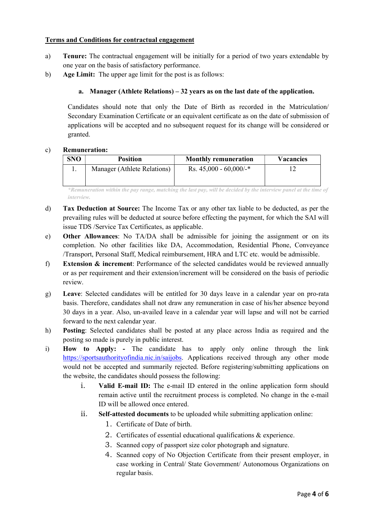### Terms and Conditions for contractual engagement

- a) Tenure: The contractual engagement will be initially for a period of two years extendable by one year on the basis of satisfactory performance.
- b) Age Limit: The upper age limit for the post is as follows:

# a. Manager (Athlete Relations) – 32 years as on the last date of the application.

Candidates should note that only the Date of Birth as recorded in the Matriculation/ Secondary Examination Certificate or an equivalent certificate as on the date of submission of applications will be accepted and no subsequent request for its change will be considered or granted.

### c) Remuneration:

| <b>SNO</b> | <b>Position</b>             | <b>Monthly remuneration</b>         | <b>Vacancies</b> |
|------------|-----------------------------|-------------------------------------|------------------|
|            | Manager (Athlete Relations) | Rs. $45,000 - 60,000/$ <sup>*</sup> |                  |
|            |                             |                                     |                  |

\*Remuneration within the pay range, matching the last pay, will be decided by the interview panel at the time of interview.

- d) Tax Deduction at Source: The Income Tax or any other tax liable to be deducted, as per the prevailing rules will be deducted at source before effecting the payment, for which the SAI will issue TDS /Service Tax Certificates, as applicable.
- e) Other Allowances: No TA/DA shall be admissible for joining the assignment or on its completion. No other facilities like DA, Accommodation, Residential Phone, Conveyance /Transport, Personal Staff, Medical reimbursement, HRA and LTC etc. would be admissible.
- f) Extension & increment: Performance of the selected candidates would be reviewed annually or as per requirement and their extension/increment will be considered on the basis of periodic review.
- g) Leave: Selected candidates will be entitled for 30 days leave in a calendar year on pro-rata basis. Therefore, candidates shall not draw any remuneration in case of his/her absence beyond 30 days in a year. Also, un-availed leave in a calendar year will lapse and will not be carried forward to the next calendar year.
- h) Posting: Selected candidates shall be posted at any place across India as required and the posting so made is purely in public interest.
- i) How to Apply: The candidate has to apply only online through the link https://sportsauthorityofindia.nic.in/saijobs. Applications received through any other mode would not be accepted and summarily rejected. Before registering/submitting applications on the website, the candidates should possess the following:
	- i. Valid E-mail ID: The e-mail ID entered in the online application form should remain active until the recruitment process is completed. No change in the e-mail ID will be allowed once entered.
	- ii. Self-attested documents to be uploaded while submitting application online:
		- 1. Certificate of Date of birth.
		- 2. Certificates of essential educational qualifications & experience.
		- 3. Scanned copy of passport size color photograph and signature.
		- 4. Scanned copy of No Objection Certificate from their present employer, in case working in Central/ State Government/ Autonomous Organizations on regular basis.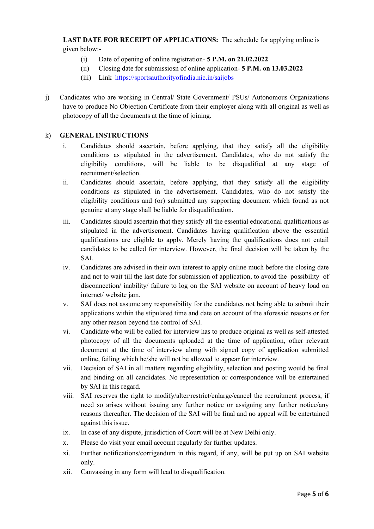LAST DATE FOR RECEIPT OF APPLICATIONS: The schedule for applying online is given below:-

- (i) Date of opening of online registration- 5 P.M. on 21.02.2022
- (ii) Closing date for submissiosn of online application- 5 P.M. on 13.03.2022
- (iii) Link https://sportsauthorityofindia.nic.in/saijobs
- j) Candidates who are working in Central/ State Government/ PSUs/ Autonomous Organizations have to produce No Objection Certificate from their employer along with all original as well as photocopy of all the documents at the time of joining.

# k) GENERAL INSTRUCTIONS

- i. Candidates should ascertain, before applying, that they satisfy all the eligibility conditions as stipulated in the advertisement. Candidates, who do not satisfy the eligibility conditions, will be liable to be disqualified at any stage of recruitment/selection.
- ii. Candidates should ascertain, before applying, that they satisfy all the eligibility conditions as stipulated in the advertisement. Candidates, who do not satisfy the eligibility conditions and (or) submitted any supporting document which found as not genuine at any stage shall be liable for disqualification.
- iii. Candidates should ascertain that they satisfy all the essential educational qualifications as stipulated in the advertisement. Candidates having qualification above the essential qualifications are eligible to apply. Merely having the qualifications does not entail candidates to be called for interview. However, the final decision will be taken by the SAI.
- iv. Candidates are advised in their own interest to apply online much before the closing date and not to wait till the last date for submission of application, to avoid the possibility of disconnection/ inability/ failure to log on the SAI website on account of heavy load on internet/ website jam.
- v. SAI does not assume any responsibility for the candidates not being able to submit their applications within the stipulated time and date on account of the aforesaid reasons or for any other reason beyond the control of SAI.
- vi. Candidate who will be called for interview has to produce original as well as self-attested photocopy of all the documents uploaded at the time of application, other relevant document at the time of interview along with signed copy of application submitted online, failing which he/she will not be allowed to appear for interview.
- vii. Decision of SAI in all matters regarding eligibility, selection and posting would be final and binding on all candidates. No representation or correspondence will be entertained by SAI in this regard.
- viii. SAI reserves the right to modify/alter/restrict/enlarge/cancel the recruitment process, if need so arises without issuing any further notice or assigning any further notice/any reasons thereafter. The decision of the SAI will be final and no appeal will be entertained against this issue.
- ix. In case of any dispute, jurisdiction of Court will be at New Delhi only.
- x. Please do visit your email account regularly for further updates.
- xi. Further notifications/corrigendum in this regard, if any, will be put up on SAI website only.
- xii. Canvassing in any form will lead to disqualification.